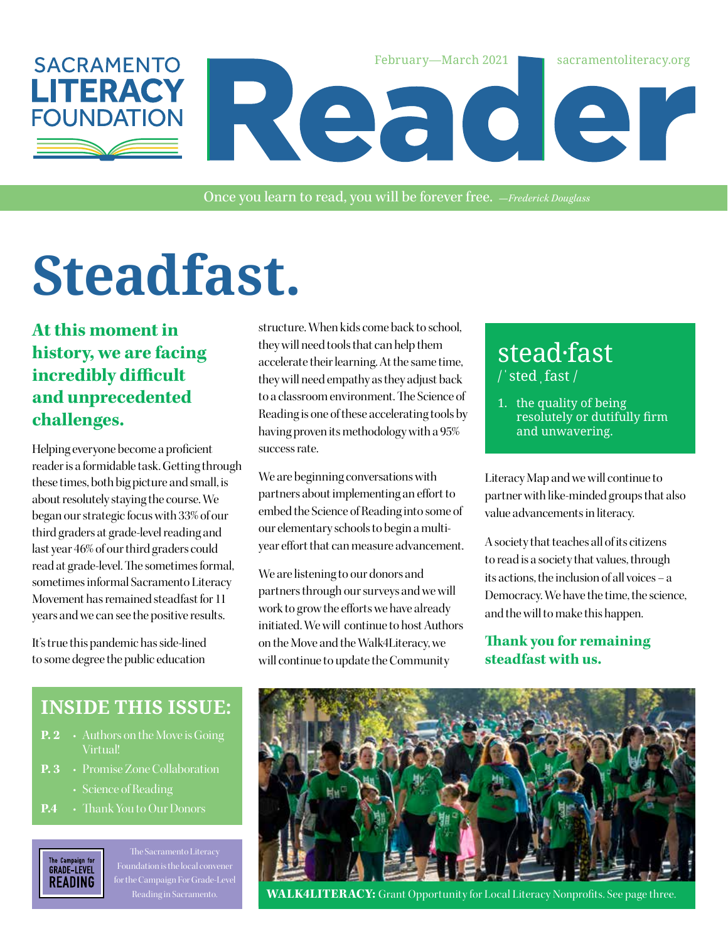

Once you learn to read, you will be forever free. *—Frederick Douglass*

# **Steadfast.**

**At this moment in history, we are facing incredibly difficult and unprecedented challenges.**

Helping everyone become a proficient reader is a formidable task. Getting through these times, both big picture and small, is about resolutely staying the course. We began our strategic focus with 33% of our third graders at grade-level reading and last year 46% of our third graders could read at grade-level. The sometimes formal, sometimes informal Sacramento Literacy Movement has remained steadfast for 11 years and we can see the positive results.

It's true this pandemic has side-lined to some degree the public education structure. When kids come back to school, they will need tools that can help them accelerate their learning. At the same time, they will need empathy as they adjust back to a classroom environment. The Science of Reading is one of these accelerating tools by having proven its methodology with a 95% success rate.

We are beginning conversations with partners about implementing an effort to embed the Science of Reading into some of our elementary schools to begin a multiyear effort that can measure advancement.

We are listening to our donors and partners through our surveys and we will work to grow the efforts we have already initiated. We will continue to host Authors on the Move and the Walk4Literacy, we will continue to update the Community

## stead·fast / ˈ sted ˌ fast /

1. the quality of being resolutely or dutifully firm and unwavering.

Literacy Map and we will continue to partner with like-minded groups that also value advancements in literacy.

A society that teaches all of its citizens to read is a society that values, through its actions, the inclusion of all voices – a Democracy. We have the time, the science, and the will to make this happen.

#### **Thank you for remaining steadfast with us.**

## **INSIDE THIS ISSUE:**

- **P. 2** Authors on the Move is Going Virtual!
- **P. 3** Promise Zone Collaboration
	- Science of Reading
- **P.4** Thank You to Our Donors



The Sacramento Literacy for the Campaign For Grade-Level



**WALK4LITERACY:** Grant Opportunity for Local Literacy Nonprofits. See page three.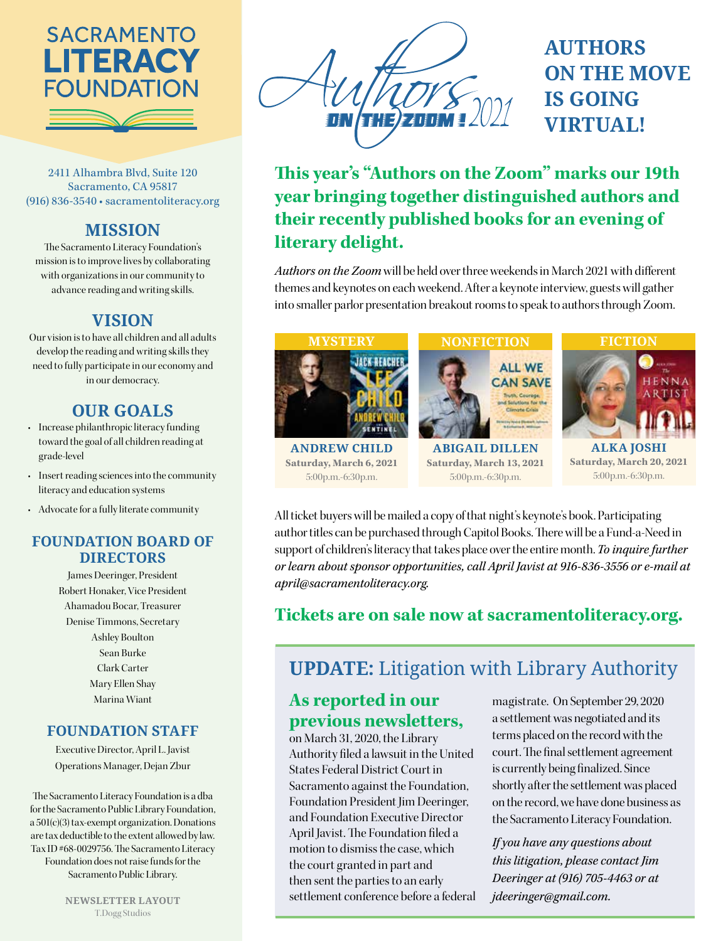

2411 Alhambra Blvd, Suite 120 Sacramento, CA 95817 (916) 836-3540 • sacramentoliteracy.org

## **MISSION**

The Sacramento Literacy Foundation's mission is to improve lives by collaborating with organizations in our community to advance reading and writing skills.

## **VISION**

Our vision is to have all children and all adults develop the reading and writing skills they need to fully participate in our economy and in our democracy.

## **OUR GOALS**

- Increase philanthropic literacy funding toward the goal of all children reading at grade-level
- Insert reading sciences into the community literacy and education systems
- Advocate for a fully literate community

### **FOUNDATION BOARD OF DIRECTORS**

James Deeringer, President Robert Honaker, Vice President Ahamadou Bocar, Treasurer Denise Timmons, Secretary Ashley Boulton Sean Burke Clark Carter Mary Ellen Shay Marina Wiant

### **FOUNDATION STAFF**

Executive Director, April L. Javist Operations Manager, Dejan Zbur

The Sacramento Literacy Foundation is a dba for the Sacramento Public Library Foundation, a 501(c)(3) tax-exempt organization. Donations are tax deductible to the extent allowed by law. Tax ID #68-0029756. The Sacramento Literacy Foundation does not raise funds for the Sacramento Public Library.



## **AUTHORS ON THE MOVE IS GOING VIRTUAL!**

**This year's "Authors on the Zoom" marks our 19th year bringing together distinguished authors and their recently published books for an evening of literary delight.**

*Authors on the Zoom* will be held over three weekends in March 2021 with different themes and keynotes on each weekend. After a keynote interview, guests will gather into smaller parlor presentation breakout rooms to speak to authors through Zoom.



**Saturday, March 6, 2021** 5:00p.m.-6:30p.m.

**Saturday, March 13, 2021** 5:00p.m.-6:30p.m.



**Saturday, March 20, 2021** 5:00p.m.-6:30p.m.

All ticket buyers will be mailed a copy of that night's keynote's book. Participating author titles can be purchased through Capitol Books. There will be a Fund-a-Need in support of children's literacy that takes place over the entire month. *To inquire further or learn about sponsor opportunities, call April Javist at 916-836-3556 or e-mail at april@sacramentoliteracy.org.*

## **Tickets are on sale now at sacramentoliteracy.org.**

## **UPDATE:** Litigation with Library Authority

## **As reported in our previous newsletters,**

on March 31, 2020, the Library Authority filed a lawsuit in the United States Federal District Court in Sacramento against the Foundation, Foundation President Jim Deeringer, and Foundation Executive Director April Javist. The Foundation filed a motion to dismiss the case, which the court granted in part and then sent the parties to an early settlement conference before a federal magistrate. On September 29, 2020 a settlement was negotiated and its terms placed on the record with the court. The final settlement agreement is currently being finalized. Since shortly after the settlement was placed on the record, we have done business as the Sacramento Literacy Foundation.

*If you have any questions about this litigation, please contact Jim Deeringer at (916) 705-4463 or at jdeeringer@gmail.com.*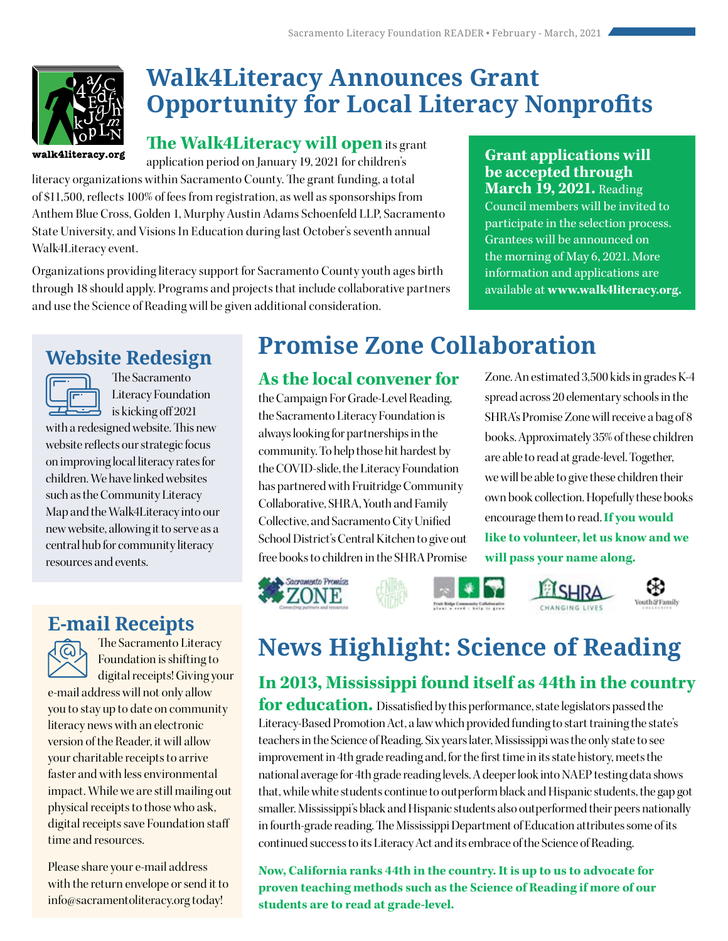

## **Walk4Literacy Announces Grant Opportunity for Local Literacy Nonprofits**

**The Walk4Literacy will open** its grant

application period on January 19, 2021 for children's literacy organizations within Sacramento County. The grant funding, a total of \$11,500, reflects 100% of fees from registration, as well as sponsorships from Anthem Blue Cross, Golden 1, Murphy Austin Adams Schoenfeld LLP, Sacramento State University, and Visions In Education during last October's seventh annual Walk4Literacy event.

Organizations providing literacy support for Sacramento County youth ages birth through 18 should apply. Programs and projects that include collaborative partners and use the Science of Reading will be given additional consideration.

### **Grant applications will be accepted through March 19, 2021.** Reading

Council members will be invited to participate in the selection process. Grantees will be announced on the morning of May 6, 2021. More information and applications are available at **www.walk4literacy.org.**

Zone. An estimated 3,500 kids in grades K-4 spread across 20 elementary schools in the SHRA's Promise Zone will receive a bag of 8 books. Approximately 35% of these children are able to read at grade-level. Together, we will be able to give these children their own book collection. Hopefully these books encourage them to read. **If you would like to volunteer, let us know and we** 

## **Website Redesign**



The Sacramento Literacy Foundation is kicking off 2021

with a redesigned website. This new website reflects our strategic focus on improving local literacy rates for children. We have linked websites such as the Community Literacy Map and the Walk4Literacy into our new website, allowing it to serve as a central hub for community literacy resources and events.

## **E-mail Receipts**



The Sacramento Literacy Foundation is shifting to digital receipts! Giving your

e-mail address will not only allow you to stay up to date on community literacy news with an electronic version of the Reader, it will allow your charitable receipts to arrive faster and with less environmental impact. While we are still mailing out physical receipts to those who ask, digital receipts save Foundation staff time and resources.

Please share your e-mail address with the return envelope or send it to info@sacramentoliteracy.org today!

## **Promise Zone Collaboration**

## **As the local convener for**

the Campaign For Grade-Level Reading, the Sacramento Literacy Foundation is always looking for partnerships in the community. To help those hit hardest by the COVID-slide, the Literacy Foundation has partnered with Fruitridge Community Collaborative, SHRA, Youth and Family Collective, and Sacramento City Unified School District's Central Kitchen to give out free books to children in the SHRA Promise

Sacramento Promise

**ZONE** 





**will pass your name along.**



## **News Highlight: Science of Reading**

## **In 2013, Mississippi found itself as 44th in the country**

**for education.** Dissatisfied by this performance, state legislators passed the Literacy-Based Promotion Act, a law which provided funding to start training the state's teachers in the Science of Reading. Six years later, Mississippi was the only state to see improvement in 4th grade reading and, for the first time in its state history, meets the national average for 4th grade reading levels. A deeper look into NAEP testing data shows that, while white students continue to outperform black and Hispanic students, the gap got smaller. Mississippi's black and Hispanic students also outperformed their peers nationally in fourth-grade reading. The Mississippi Department of Education attributes some of its continued success to its Literacy Act and its embrace of the Science of Reading.

**Now, California ranks 44th in the country. It is up to us to advocate for proven teaching methods such as the Science of Reading if more of our students are to read at grade-level.**